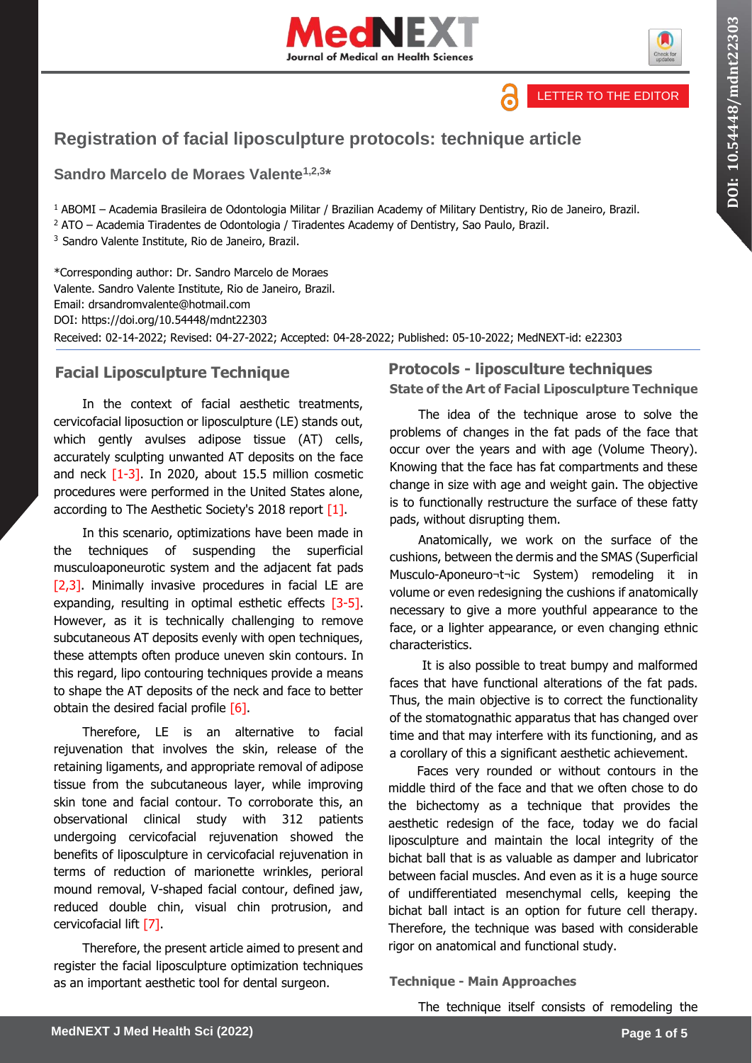





# **Registration of facial liposculpture protocols: technique article**

**Sandro Marcelo de Moraes Valente1,2,3 \***

<sup>1</sup> ABOMI – Academia Brasileira de Odontologia Militar / Brazilian Academy of Military Dentistry, Rio de Janeiro, Brazil.

<sup>2</sup> ATO – Academia Tiradentes de Odontologia / Tiradentes Academy of Dentistry, Sao Paulo, Brazil.

<sup>3</sup> Sandro Valente Institute, Rio de Janeiro, Brazil.

\*Corresponding author: Dr. Sandro Marcelo de Moraes Valente. Sandro Valente Institute, Rio de Janeiro, Brazil. Email: drsandromvalente@hotmail.com DOI: https://doi.org/10.54448/mdnt22303 Received: 02-14-2022; Revised: 04-27-2022; Accepted: 04-28-2022; Published: 05-10-2022; MedNEXT-id: e22303

## **Facial Liposculpture Technique**

In the context of facial aesthetic treatments, cervicofacial liposuction or liposculpture (LE) stands out, which gently avulses adipose tissue (AT) cells, accurately sculpting unwanted AT deposits on the face and neck  $[1-3]$ . In 2020, about 15.5 million cosmetic procedures were performed in the United States alone, according to The Aesthetic Society's 2018 report [1].

In this scenario, optimizations have been made in the techniques of suspending the superficial musculoaponeurotic system and the adjacent fat pads [2,3]. Minimally invasive procedures in facial LE are expanding, resulting in optimal esthetic effects [3-5]. However, as it is technically challenging to remove subcutaneous AT deposits evenly with open techniques, these attempts often produce uneven skin contours. In this regard, lipo contouring techniques provide a means to shape the AT deposits of the neck and face to better obtain the desired facial profile  $[6]$ .

Therefore, LE is an alternative to facial rejuvenation that involves the skin, release of the retaining ligaments, and appropriate removal of adipose tissue from the subcutaneous layer, while improving skin tone and facial contour. To corroborate this, an observational clinical study with 312 patients undergoing cervicofacial rejuvenation showed the benefits of liposculpture in cervicofacial rejuvenation in terms of reduction of marionette wrinkles, perioral mound removal, V-shaped facial contour, defined jaw, reduced double chin, visual chin protrusion, and cervicofacial lift [7].

Therefore, the present article aimed to present and register the facial liposculpture optimization techniques as an important aesthetic tool for dental surgeon.

# **Protocols - liposculture techniques**

**State of the Art of Facial Liposculpture Technique**

The idea of the technique arose to solve the problems of changes in the fat pads of the face that occur over the years and with age (Volume Theory). Knowing that the face has fat compartments and these change in size with age and weight gain. The objective is to functionally restructure the surface of these fatty pads, without disrupting them.

Anatomically, we work on the surface of the cushions, between the dermis and the SMAS (Superficial Musculo-Aponeuro¬t¬ic System) remodeling it in volume or even redesigning the cushions if anatomically necessary to give a more youthful appearance to the face, or a lighter appearance, or even changing ethnic characteristics.

It is also possible to treat bumpy and malformed faces that have functional alterations of the fat pads. Thus, the main objective is to correct the functionality of the stomatognathic apparatus that has changed over time and that may interfere with its functioning, and as a corollary of this a significant aesthetic achievement.

Faces very rounded or without contours in the middle third of the face and that we often chose to do the bichectomy as a technique that provides the aesthetic redesign of the face, today we do facial liposculpture and maintain the local integrity of the bichat ball that is as valuable as damper and lubricator between facial muscles. And even as it is a huge source of undifferentiated mesenchymal cells, keeping the bichat ball intact is an option for future cell therapy. Therefore, the technique was based with considerable rigor on anatomical and functional study.

### **Technique - Main Approaches**

The technique itself consists of remodeling the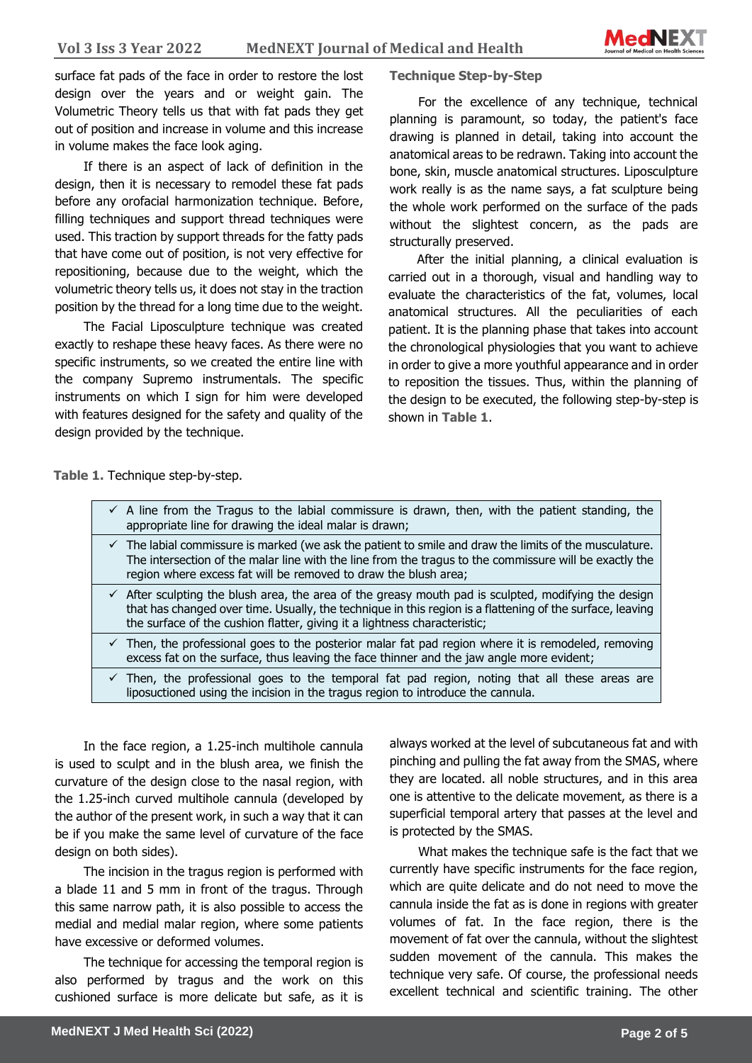surface fat pads of the face in order to restore the lost design over the years and or weight gain. The Volumetric Theory tells us that with fat pads they get out of position and increase in volume and this increase in volume makes the face look aging.

If there is an aspect of lack of definition in the design, then it is necessary to remodel these fat pads before any orofacial harmonization technique. Before, filling techniques and support thread techniques were used. This traction by support threads for the fatty pads that have come out of position, is not very effective for repositioning, because due to the weight, which the volumetric theory tells us, it does not stay in the traction position by the thread for a long time due to the weight.

The Facial Liposculpture technique was created exactly to reshape these heavy faces. As there were no specific instruments, so we created the entire line with the company Supremo instrumentals. The specific instruments on which I sign for him were developed with features designed for the safety and quality of the design provided by the technique.

### **Technique Step-by-Step**

For the excellence of any technique, technical planning is paramount, so today, the patient's face drawing is planned in detail, taking into account the anatomical areas to be redrawn. Taking into account the bone, skin, muscle anatomical structures. Liposculpture work really is as the name says, a fat sculpture being the whole work performed on the surface of the pads without the slightest concern, as the pads are structurally preserved.

After the initial planning, a clinical evaluation is carried out in a thorough, visual and handling way to evaluate the characteristics of the fat, volumes, local anatomical structures. All the peculiarities of each patient. It is the planning phase that takes into account the chronological physiologies that you want to achieve in order to give a more youthful appearance and in order to reposition the tissues. Thus, within the planning of the design to be executed, the following step-by-step is shown in **Table 1**.

**Table 1.** Technique step-by-step.

| $\checkmark$ A line from the Tragus to the labial commissure is drawn, then, with the patient standing, the<br>appropriate line for drawing the ideal malar is drawn;                                                                                                                                     |
|-----------------------------------------------------------------------------------------------------------------------------------------------------------------------------------------------------------------------------------------------------------------------------------------------------------|
| $\checkmark$ The labial commissure is marked (we ask the patient to smile and draw the limits of the musculature.<br>The intersection of the malar line with the line from the tragus to the commissure will be exactly the<br>region where excess fat will be removed to draw the blush area;            |
| $\checkmark$ After sculpting the blush area, the area of the greasy mouth pad is sculpted, modifying the design<br>that has changed over time. Usually, the technique in this region is a flattening of the surface, leaving<br>the surface of the cushion flatter, giving it a lightness characteristic; |
| Then, the professional goes to the posterior malar fat pad region where it is remodeled, removing<br>excess fat on the surface, thus leaving the face thinner and the jaw angle more evident;                                                                                                             |
| Then, the professional goes to the temporal fat pad region, noting that all these areas are<br>liposuctioned using the incision in the tragus region to introduce the cannula.                                                                                                                            |
|                                                                                                                                                                                                                                                                                                           |

In the face region, a 1.25-inch multihole cannula is used to sculpt and in the blush area, we finish the curvature of the design close to the nasal region, with the 1.25-inch curved multihole cannula (developed by the author of the present work, in such a way that it can be if you make the same level of curvature of the face design on both sides).

The incision in the tragus region is performed with a blade 11 and 5 mm in front of the tragus. Through this same narrow path, it is also possible to access the medial and medial malar region, where some patients have excessive or deformed volumes.

The technique for accessing the temporal region is also performed by tragus and the work on this cushioned surface is more delicate but safe, as it is

always worked at the level of subcutaneous fat and with pinching and pulling the fat away from the SMAS, where they are located. all noble structures, and in this area one is attentive to the delicate movement, as there is a superficial temporal artery that passes at the level and is protected by the SMAS.

What makes the technique safe is the fact that we currently have specific instruments for the face region, which are quite delicate and do not need to move the cannula inside the fat as is done in regions with greater volumes of fat. In the face region, there is the movement of fat over the cannula, without the slightest sudden movement of the cannula. This makes the technique very safe. Of course, the professional needs excellent technical and scientific training. The other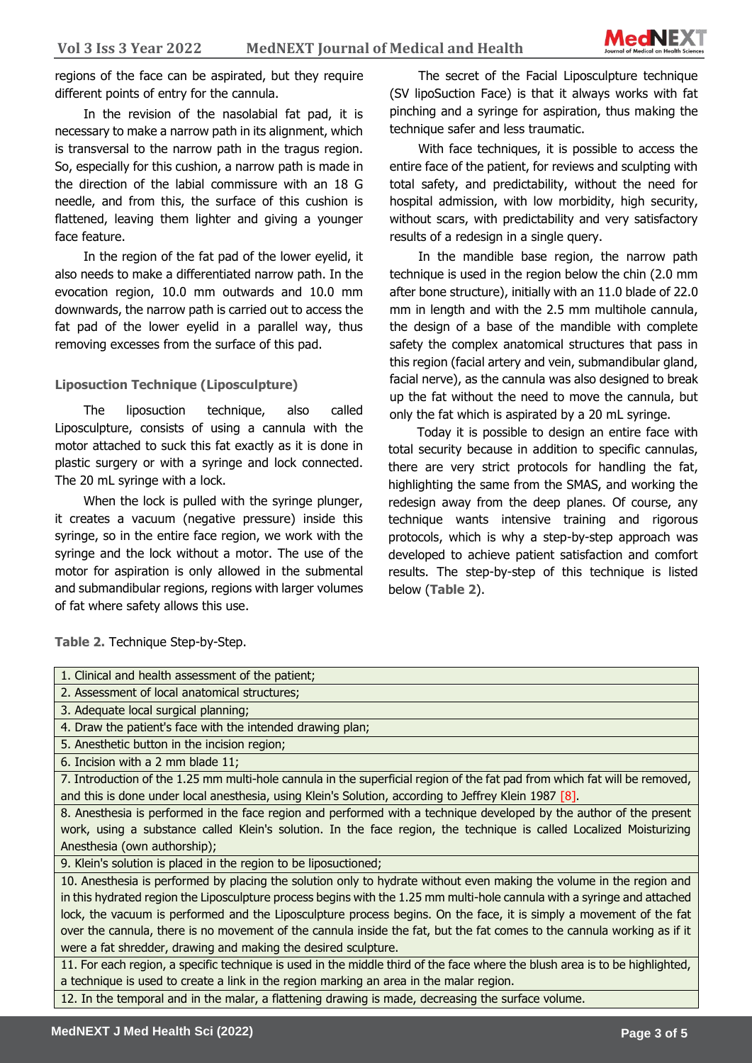regions of the face can be aspirated, but they require different points of entry for the cannula.

In the revision of the nasolabial fat pad, it is necessary to make a narrow path in its alignment, which is transversal to the narrow path in the tragus region. So, especially for this cushion, a narrow path is made in the direction of the labial commissure with an 18 G needle, and from this, the surface of this cushion is flattened, leaving them lighter and giving a younger face feature.

In the region of the fat pad of the lower eyelid, it also needs to make a differentiated narrow path. In the evocation region, 10.0 mm outwards and 10.0 mm downwards, the narrow path is carried out to access the fat pad of the lower eyelid in a parallel way, thus removing excesses from the surface of this pad.

#### **Liposuction Technique (Liposculpture)**

The liposuction technique, also called Liposculpture, consists of using a cannula with the motor attached to suck this fat exactly as it is done in plastic surgery or with a syringe and lock connected. The 20 mL syringe with a lock.

When the lock is pulled with the syringe plunger, it creates a vacuum (negative pressure) inside this syringe, so in the entire face region, we work with the syringe and the lock without a motor. The use of the motor for aspiration is only allowed in the submental and submandibular regions, regions with larger volumes of fat where safety allows this use.

The secret of the Facial Liposculpture technique (SV lipoSuction Face) is that it always works with fat pinching and a syringe for aspiration, thus making the technique safer and less traumatic.

With face techniques, it is possible to access the entire face of the patient, for reviews and sculpting with total safety, and predictability, without the need for hospital admission, with low morbidity, high security, without scars, with predictability and very satisfactory results of a redesign in a single query.

In the mandible base region, the narrow path technique is used in the region below the chin (2.0 mm after bone structure), initially with an 11.0 blade of 22.0 mm in length and with the 2.5 mm multihole cannula, the design of a base of the mandible with complete safety the complex anatomical structures that pass in this region (facial artery and vein, submandibular gland, facial nerve), as the cannula was also designed to break up the fat without the need to move the cannula, but only the fat which is aspirated by a 20 mL syringe.

Today it is possible to design an entire face with total security because in addition to specific cannulas, there are very strict protocols for handling the fat, highlighting the same from the SMAS, and working the redesign away from the deep planes. Of course, any technique wants intensive training and rigorous protocols, which is why a step-by-step approach was developed to achieve patient satisfaction and comfort results. The step-by-step of this technique is listed below (**Table 2**).

**Table 2.** Technique Step-by-Step.

| 1. Clinical and health assessment of the patient;                                                                            |  |
|------------------------------------------------------------------------------------------------------------------------------|--|
| 2. Assessment of local anatomical structures;                                                                                |  |
| 3. Adequate local surgical planning;                                                                                         |  |
| 4. Draw the patient's face with the intended drawing plan;                                                                   |  |
| 5. Anesthetic button in the incision region;                                                                                 |  |
| 6. Incision with a 2 mm blade 11;                                                                                            |  |
| 7. Introduction of the 1.25 mm multi-hole cannula in the superficial region of the fat pad from which fat will be removed,   |  |
| and this is done under local anesthesia, using Klein's Solution, according to Jeffrey Klein 1987 [8].                        |  |
| 8. Anesthesia is performed in the face region and performed with a technique developed by the author of the present          |  |
| work, using a substance called Klein's solution. In the face region, the technique is called Localized Moisturizing          |  |
| Anesthesia (own authorship);                                                                                                 |  |
| 9. Klein's solution is placed in the region to be liposuctioned;                                                             |  |
| 10. Anesthesia is performed by placing the solution only to hydrate without even making the volume in the region and         |  |
| in this hydrated region the Liposculpture process begins with the 1.25 mm multi-hole cannula with a syringe and attached     |  |
| lock, the vacuum is performed and the Liposculpture process begins. On the face, it is simply a movement of the fat          |  |
| over the cannula, there is no movement of the cannula inside the fat, but the fat comes to the cannula working as if it      |  |
| were a fat shredder, drawing and making the desired sculpture.                                                               |  |
| 11. For each region, a specific technique is used in the middle third of the face where the blush area is to be highlighted, |  |
| a technique is used to create a link in the region marking an area in the malar region.                                      |  |
| 12. In the temporal and in the malar, a flattening drawing is made, decreasing the surface volume.                           |  |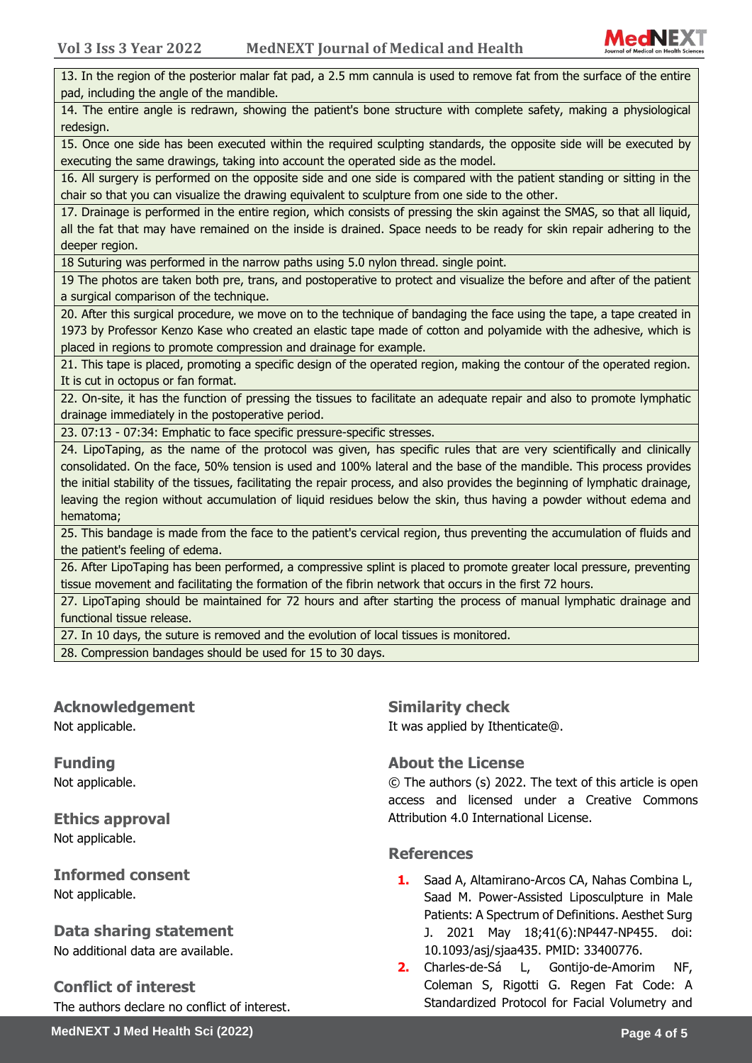

13. In the region of the posterior malar fat pad, a 2.5 mm cannula is used to remove fat from the surface of the entire pad, including the angle of the mandible.

14. The entire angle is redrawn, showing the patient's bone structure with complete safety, making a physiological redesign.

15. Once one side has been executed within the required sculpting standards, the opposite side will be executed by executing the same drawings, taking into account the operated side as the model.

16. All surgery is performed on the opposite side and one side is compared with the patient standing or sitting in the chair so that you can visualize the drawing equivalent to sculpture from one side to the other.

17. Drainage is performed in the entire region, which consists of pressing the skin against the SMAS, so that all liquid, all the fat that may have remained on the inside is drained. Space needs to be ready for skin repair adhering to the deeper region.

18 Suturing was performed in the narrow paths using 5.0 nylon thread. single point.

19 The photos are taken both pre, trans, and postoperative to protect and visualize the before and after of the patient a surgical comparison of the technique.

20. After this surgical procedure, we move on to the technique of bandaging the face using the tape, a tape created in 1973 by Professor Kenzo Kase who created an elastic tape made of cotton and polyamide with the adhesive, which is placed in regions to promote compression and drainage for example.

21. This tape is placed, promoting a specific design of the operated region, making the contour of the operated region. It is cut in octopus or fan format.

22. On-site, it has the function of pressing the tissues to facilitate an adequate repair and also to promote lymphatic drainage immediately in the postoperative period.

23. 07:13 - 07:34: Emphatic to face specific pressure-specific stresses.

24. LipoTaping, as the name of the protocol was given, has specific rules that are very scientifically and clinically consolidated. On the face, 50% tension is used and 100% lateral and the base of the mandible. This process provides the initial stability of the tissues, facilitating the repair process, and also provides the beginning of lymphatic drainage, leaving the region without accumulation of liquid residues below the skin, thus having a powder without edema and hematoma;

25. This bandage is made from the face to the patient's cervical region, thus preventing the accumulation of fluids and the patient's feeling of edema.

26. After LipoTaping has been performed, a compressive splint is placed to promote greater local pressure, preventing tissue movement and facilitating the formation of the fibrin network that occurs in the first 72 hours.

27. LipoTaping should be maintained for 72 hours and after starting the process of manual lymphatic drainage and functional tissue release.

27. In 10 days, the suture is removed and the evolution of local tissues is monitored.

28. Compression bandages should be used for 15 to 30 days.

**Acknowledgement** Not applicable.

**Funding** Not applicable.

**Ethics approval**  Not applicable.

**Informed consent** Not applicable.

**Data sharing statement** No additional data are available.

**Conflict of interest**

The authors declare no conflict of interest.

**Similarity check** 

It was applied by Ithenticate@.

### **About the License**

© The authors (s) 2022. The text of this article is open access and licensed under a Creative Commons Attribution 4.0 International License.

#### **References**

- **1.** Saad A, Altamirano-Arcos CA, Nahas Combina L, Saad M. Power-Assisted Liposculpture in Male Patients: A Spectrum of Definitions. Aesthet Surg J. 2021 May 18;41(6):NP447-NP455. doi: 10.1093/asj/sjaa435. PMID: 33400776.
- **2.** Charles-de-Sá L, Gontijo-de-Amorim NF, Coleman S, Rigotti G. Regen Fat Code: A Standardized Protocol for Facial Volumetry and

**MedNEXT J Med Health Sci (2022) Page 4 of 5**